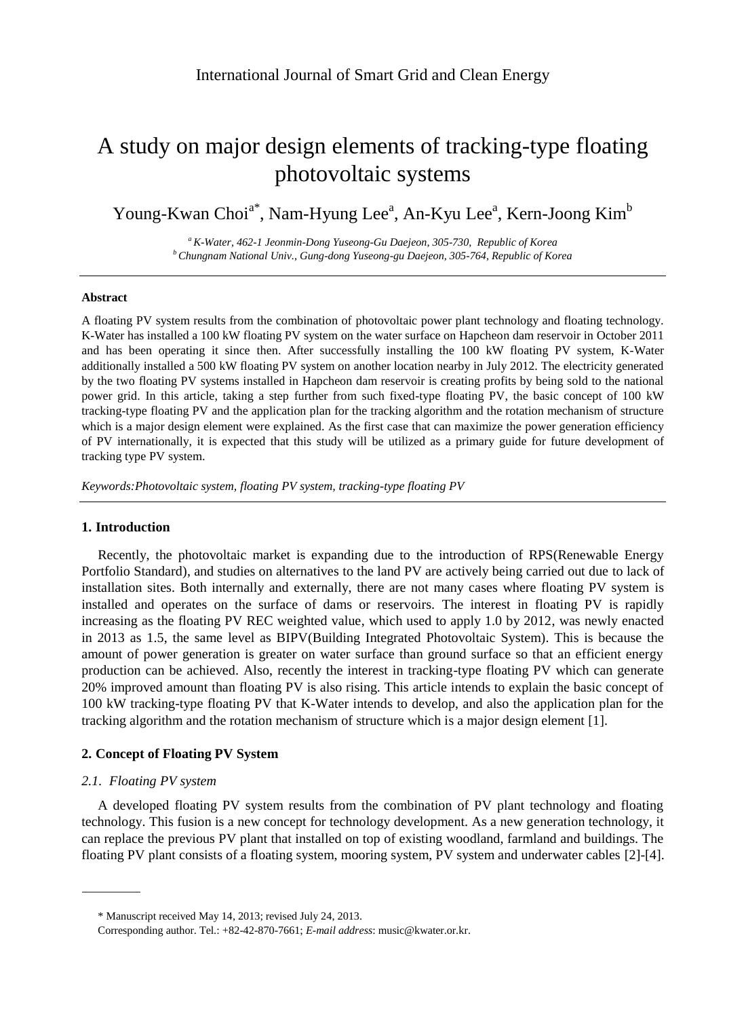# A study on major design elements of tracking-type floating photovoltaic systems

Young-Kwan Choi<sup>a\*</sup>, Nam-Hyung Lee<sup>a</sup>, An-Kyu Lee<sup>a</sup>, Kern-Joong Kim<sup>b</sup>

*<sup>a</sup>K-Water, 462-1 Jeonmin-Dong Yuseong-Gu Daejeon, 305-730, Republic of Korea <sup>b</sup>Chungnam National Univ., Gung-dong Yuseong-gu Daejeon, 305-764, Republic of Korea*

#### **Abstract**

A floating PV system results from the combination of photovoltaic power plant technology and floating technology. K-Water has installed a 100 kW floating PV system on the water surface on Hapcheon dam reservoir in October 2011 and has been operating it since then. After successfully installing the 100 kW floating PV system, K-Water additionally installed a 500 kW floating PV system on another location nearby in July 2012. The electricity generated by the two floating PV systems installed in Hapcheon dam reservoir is creating profits by being sold to the national power grid. In this article, taking a step further from such fixed-type floating PV, the basic concept of 100 kW tracking-type floating PV and the application plan for the tracking algorithm and the rotation mechanism of structure which is a major design element were explained. As the first case that can maximize the power generation efficiency of PV internationally, it is expected that this study will be utilized as a primary guide for future development of tracking type PV system.

*Keywords:Photovoltaic system, floating PV system, tracking-type floating PV*

## **1. Introduction**

Recently, the photovoltaic market is expanding due to the introduction of RPS(Renewable Energy Portfolio Standard), and studies on alternatives to the land PV are actively being carried out due to lack of installation sites. Both internally and externally, there are not many cases where floating PV system is installed and operates on the surface of dams or reservoirs. The interest in floating PV is rapidly increasing as the floating PV REC weighted value, which used to apply 1.0 by 2012, was newly enacted in 2013 as 1.5, the same level as BIPV(Building Integrated Photovoltaic System). This is because the amount of power generation is greater on water surface than ground surface so that an efficient energy production can be achieved. Also, recently the interest in tracking-type floating PV which can generate 20% improved amount than floating PV is also rising. This article intends to explain the basic concept of 100 kW tracking-type floating PV that K-Water intends to develop, and also the application plan for the tracking algorithm and the rotation mechanism of structure which is a major design element [1].

### **2. Concept of Floating PV System**

## *2.1. Floating PV system*

A developed floating PV system results from the combination of PV plant technology and floating technology. This fusion is a new concept for technology development. As a new generation technology, it can replace the previous PV plant that installed on top of existing woodland, farmland and buildings. The floating PV plant consists of a floating system, mooring system, PV system and underwater cables [2]-[4].

<sup>\*</sup> Manuscript received May 14, 2013; revised July 24, 2013.

Corresponding author. Tel.: +82-42-870-7661; *E-mail address*: music@kwater.or.kr.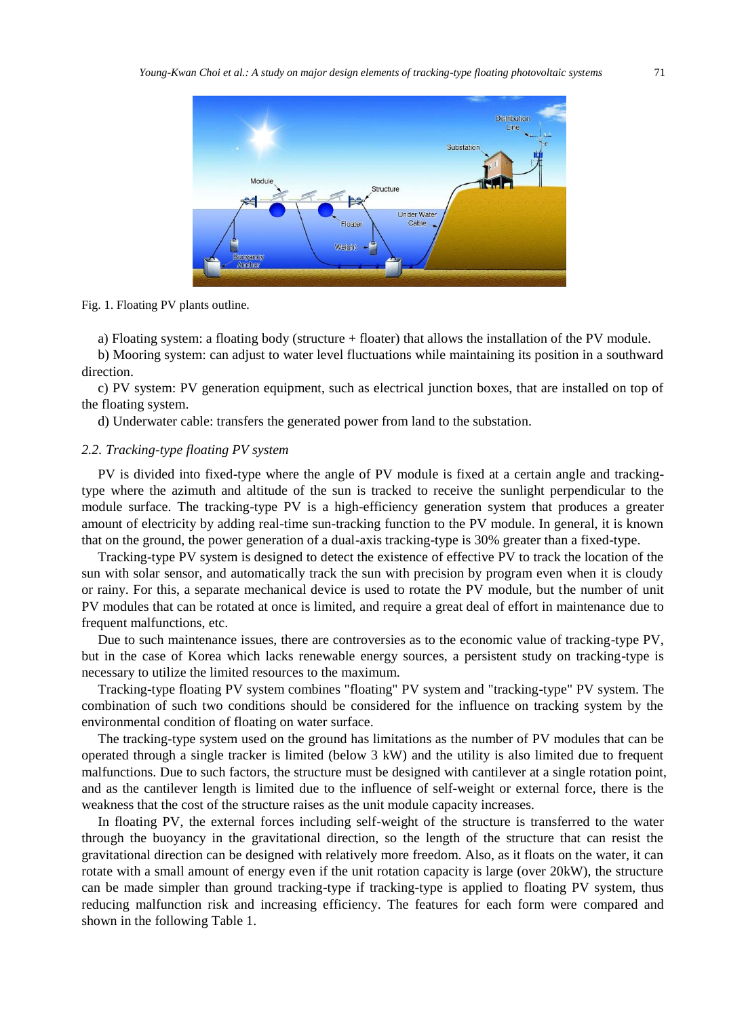

Fig. 1. Floating PV plants outline.

a) Floating system: a floating body (structure + floater) that allows the installation of the PV module.

b) Mooring system: can adjust to water level fluctuations while maintaining its position in a southward direction.

c) PV system: PV generation equipment, such as electrical junction boxes, that are installed on top of the floating system.

d) Underwater cable: transfers the generated power from land to the substation.

# *2.2. Tracking-type floating PV system*

PV is divided into fixed-type where the angle of PV module is fixed at a certain angle and trackingtype where the azimuth and altitude of the sun is tracked to receive the sunlight perpendicular to the module surface. The tracking-type PV is a high-efficiency generation system that produces a greater amount of electricity by adding real-time sun-tracking function to the PV module. In general, it is known that on the ground, the power generation of a dual-axis tracking-type is 30% greater than a fixed-type.

Tracking-type PV system is designed to detect the existence of effective PV to track the location of the sun with solar sensor, and automatically track the sun with precision by program even when it is cloudy or rainy. For this, a separate mechanical device is used to rotate the PV module, but the number of unit PV modules that can be rotated at once is limited, and require a great deal of effort in maintenance due to frequent malfunctions, etc.

Due to such maintenance issues, there are controversies as to the economic value of tracking-type PV, but in the case of Korea which lacks renewable energy sources, a persistent study on tracking-type is necessary to utilize the limited resources to the maximum.

Tracking-type floating PV system combines "floating" PV system and "tracking-type" PV system. The combination of such two conditions should be considered for the influence on tracking system by the environmental condition of floating on water surface.

The tracking-type system used on the ground has limitations as the number of PV modules that can be operated through a single tracker is limited (below 3 kW) and the utility is also limited due to frequent malfunctions. Due to such factors, the structure must be designed with cantilever at a single rotation point, and as the cantilever length is limited due to the influence of self-weight or external force, there is the weakness that the cost of the structure raises as the unit module capacity increases.

In floating PV, the external forces including self-weight of the structure is transferred to the water through the buoyancy in the gravitational direction, so the length of the structure that can resist the gravitational direction can be designed with relatively more freedom. Also, as it floats on the water, it can rotate with a small amount of energy even if the unit rotation capacity is large (over 20kW), the structure can be made simpler than ground tracking-type if tracking-type is applied to floating PV system, thus reducing malfunction risk and increasing efficiency. The features for each form were compared and shown in the following Table 1.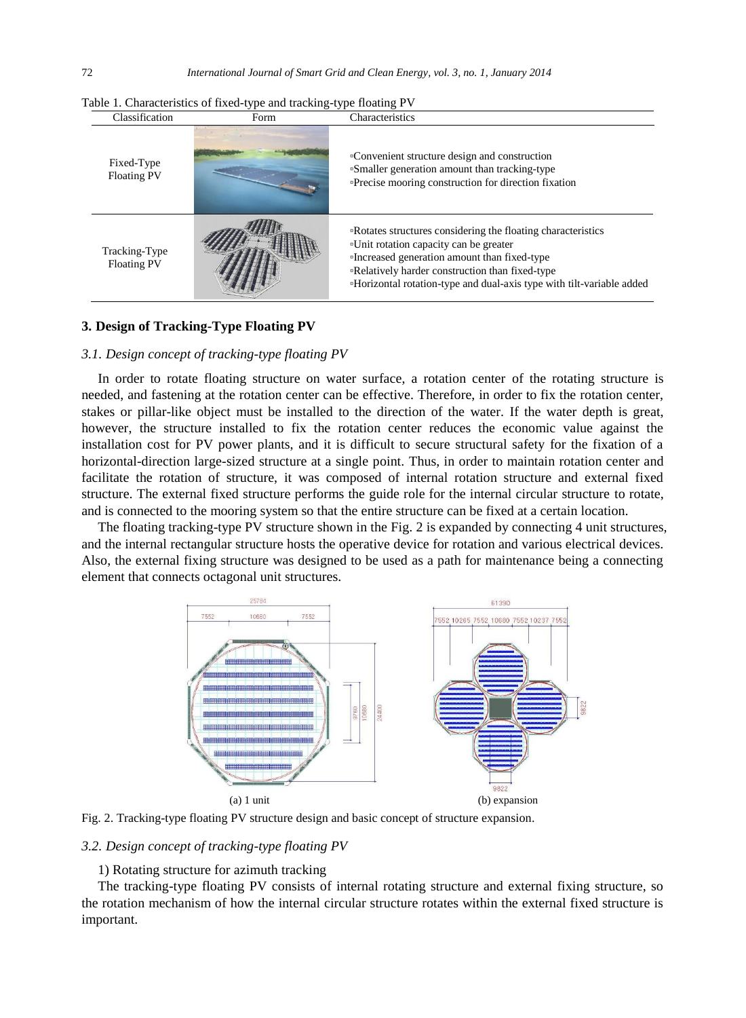| Classification                      | Form | Characteristics                                                                                                                                                                                                                                                                            |
|-------------------------------------|------|--------------------------------------------------------------------------------------------------------------------------------------------------------------------------------------------------------------------------------------------------------------------------------------------|
| Fixed-Type<br><b>Floating PV</b>    |      | •Convenient structure design and construction<br>"Smaller generation amount than tracking-type<br><b>Precise mooring construction for direction fixation</b>                                                                                                                               |
| Tracking-Type<br><b>Floating PV</b> |      | "Rotates structures considering the floating characteristics"<br>"Unit rotation capacity can be greater<br>"Increased generation amount than fixed-type<br><b>•Relatively harder construction than fixed-type</b><br>"Horizontal rotation-type and dual-axis type with tilt-variable added |

Table 1. Characteristics of fixed-type and tracking-type floating PV

## **3. Design of Tracking-Type Floating PV**

## *3.1. Design concept of tracking-type floating PV*

In order to rotate floating structure on water surface, a rotation center of the rotating structure is needed, and fastening at the rotation center can be effective. Therefore, in order to fix the rotation center, stakes or pillar-like object must be installed to the direction of the water. If the water depth is great, however, the structure installed to fix the rotation center reduces the economic value against the installation cost for PV power plants, and it is difficult to secure structural safety for the fixation of a horizontal-direction large-sized structure at a single point. Thus, in order to maintain rotation center and facilitate the rotation of structure, it was composed of internal rotation structure and external fixed structure. The external fixed structure performs the guide role for the internal circular structure to rotate, and is connected to the mooring system so that the entire structure can be fixed at a certain location.

The floating tracking-type PV structure shown in the Fig. 2 is expanded by connecting 4 unit structures, and the internal rectangular structure hosts the operative device for rotation and various electrical devices. Also, the external fixing structure was designed to be used as a path for maintenance being a connecting element that connects octagonal unit structures.





## *3.2. Design concept of tracking-type floating PV*

## 1) Rotating structure for azimuth tracking

The tracking-type floating PV consists of internal rotating structure and external fixing structure, so the rotation mechanism of how the internal circular structure rotates within the external fixed structure is important.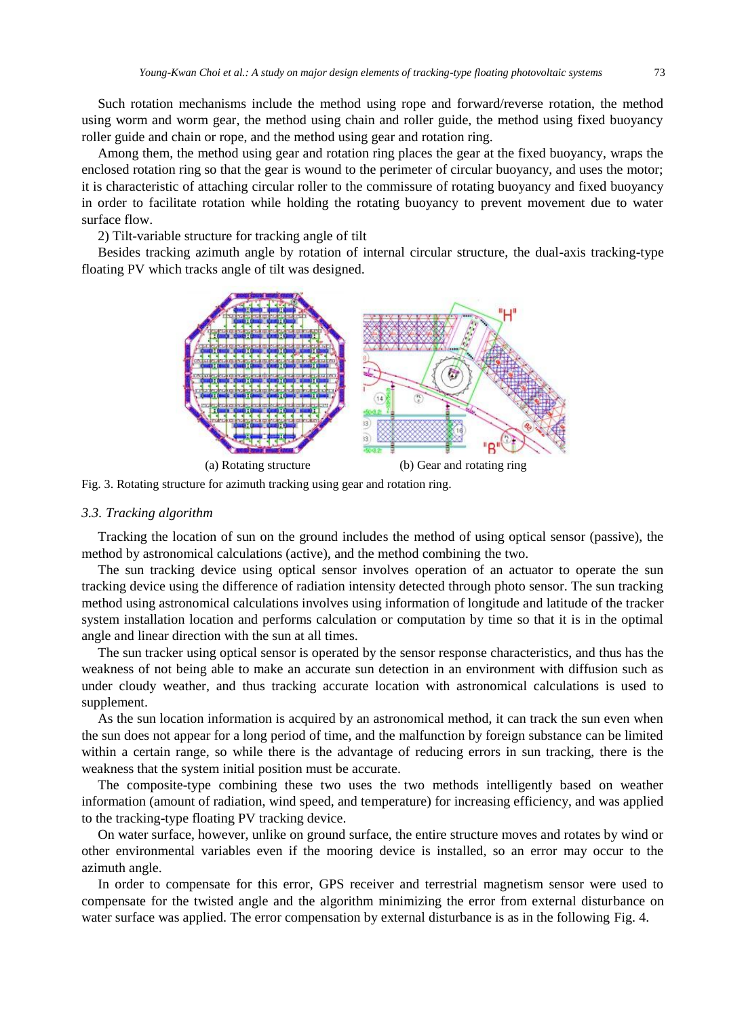Such rotation mechanisms include the method using rope and forward/reverse rotation, the method using worm and worm gear, the method using chain and roller guide, the method using fixed buoyancy roller guide and chain or rope, and the method using gear and rotation ring.

Among them, the method using gear and rotation ring places the gear at the fixed buoyancy, wraps the enclosed rotation ring so that the gear is wound to the perimeter of circular buoyancy, and uses the motor; it is characteristic of attaching circular roller to the commissure of rotating buoyancy and fixed buoyancy in order to facilitate rotation while holding the rotating buoyancy to prevent movement due to water surface flow.

2) Tilt-variable structure for tracking angle of tilt

Besides tracking azimuth angle by rotation of internal circular structure, the dual-axis tracking-type floating PV which tracks angle of tilt was designed.



Fig. 3. Rotating structure for azimuth tracking using gear and rotation ring.

## *3.3. Tracking algorithm*

Tracking the location of sun on the ground includes the method of using optical sensor (passive), the method by astronomical calculations (active), and the method combining the two.

The sun tracking device using optical sensor involves operation of an actuator to operate the sun tracking device using the difference of radiation intensity detected through photo sensor. The sun tracking method using astronomical calculations involves using information of longitude and latitude of the tracker system installation location and performs calculation or computation by time so that it is in the optimal angle and linear direction with the sun at all times.

The sun tracker using optical sensor is operated by the sensor response characteristics, and thus has the weakness of not being able to make an accurate sun detection in an environment with diffusion such as under cloudy weather, and thus tracking accurate location with astronomical calculations is used to supplement.

As the sun location information is acquired by an astronomical method, it can track the sun even when the sun does not appear for a long period of time, and the malfunction by foreign substance can be limited within a certain range, so while there is the advantage of reducing errors in sun tracking, there is the weakness that the system initial position must be accurate.

The composite-type combining these two uses the two methods intelligently based on weather information (amount of radiation, wind speed, and temperature) for increasing efficiency, and was applied to the tracking-type floating PV tracking device.

On water surface, however, unlike on ground surface, the entire structure moves and rotates by wind or other environmental variables even if the mooring device is installed, so an error may occur to the azimuth angle.

In order to compensate for this error, GPS receiver and terrestrial magnetism sensor were used to compensate for the twisted angle and the algorithm minimizing the error from external disturbance on water surface was applied. The error compensation by external disturbance is as in the following Fig. 4.